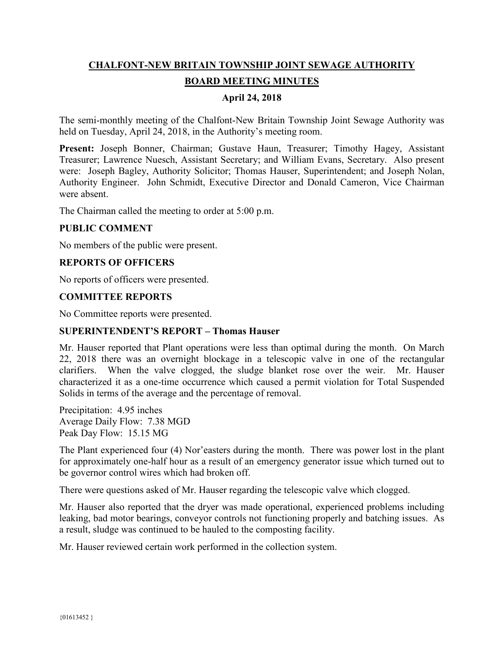# **CHALFONT-NEW BRITAIN TOWNSHIP JOINT SEWAGE AUTHORITY BOARD MEETING MINUTES**

# **April 24, 2018**

The semi-monthly meeting of the Chalfont-New Britain Township Joint Sewage Authority was held on Tuesday, April 24, 2018, in the Authority's meeting room.

**Present:** Joseph Bonner, Chairman; Gustave Haun, Treasurer; Timothy Hagey, Assistant Treasurer; Lawrence Nuesch, Assistant Secretary; and William Evans, Secretary. Also present were: Joseph Bagley, Authority Solicitor; Thomas Hauser, Superintendent; and Joseph Nolan, Authority Engineer. John Schmidt, Executive Director and Donald Cameron, Vice Chairman were absent.

The Chairman called the meeting to order at 5:00 p.m.

# **PUBLIC COMMENT**

No members of the public were present.

# **REPORTS OF OFFICERS**

No reports of officers were presented.

#### **COMMITTEE REPORTS**

No Committee reports were presented.

#### **SUPERINTENDENT'S REPORT – Thomas Hauser**

Mr. Hauser reported that Plant operations were less than optimal during the month. On March 22, 2018 there was an overnight blockage in a telescopic valve in one of the rectangular clarifiers. When the valve clogged, the sludge blanket rose over the weir. Mr. Hauser characterized it as a one-time occurrence which caused a permit violation for Total Suspended Solids in terms of the average and the percentage of removal.

Precipitation: 4.95 inches Average Daily Flow: 7.38 MGD Peak Day Flow: 15.15 MG

The Plant experienced four (4) Nor'easters during the month. There was power lost in the plant for approximately one-half hour as a result of an emergency generator issue which turned out to be governor control wires which had broken off.

There were questions asked of Mr. Hauser regarding the telescopic valve which clogged.

Mr. Hauser also reported that the dryer was made operational, experienced problems including leaking, bad motor bearings, conveyor controls not functioning properly and batching issues. As a result, sludge was continued to be hauled to the composting facility.

Mr. Hauser reviewed certain work performed in the collection system.